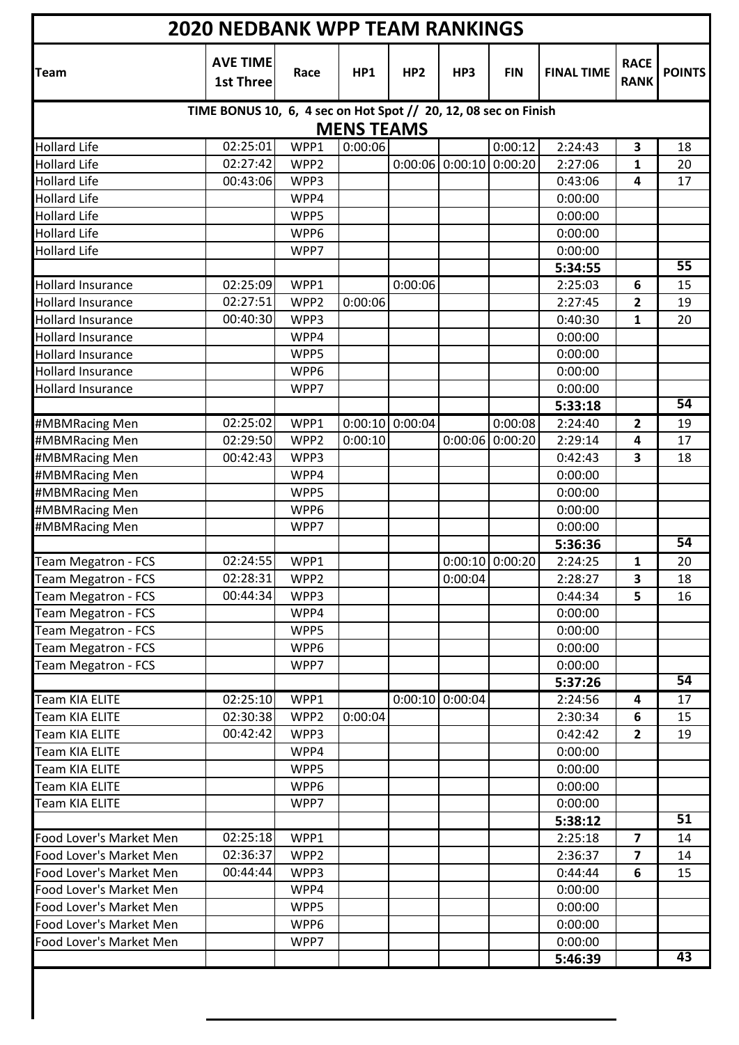| <b>2020 NEDBANK WPP TEAM RANKINGS</b>                |                                                                 |              |                   |                   |                   |                   |                    |                            |                 |
|------------------------------------------------------|-----------------------------------------------------------------|--------------|-------------------|-------------------|-------------------|-------------------|--------------------|----------------------------|-----------------|
| <b>Team</b>                                          | <b>AVE TIME</b><br><b>1st Three</b>                             | Race         | HP1               | HP <sub>2</sub>   | HP3               | <b>FIN</b>        | <b>FINAL TIME</b>  | <b>RACE</b><br><b>RANK</b> | <b>POINTS</b>   |
|                                                      | TIME BONUS 10, 6, 4 sec on Hot Spot // 20, 12, 08 sec on Finish |              |                   |                   |                   |                   |                    |                            |                 |
|                                                      |                                                                 |              | <b>MENS TEAMS</b> |                   |                   |                   |                    |                            |                 |
| <b>Hollard Life</b>                                  | 02:25:01                                                        | WPP1         | 0:00:06           |                   |                   | 0:00:12           | 2:24:43            | 3                          | 18              |
| <b>Hollard Life</b>                                  | 02:27:42                                                        | WPP2         |                   |                   | $0:00:06$ 0:00:10 | 0:00:20           | 2:27:06            | 1                          | 20              |
| <b>Hollard Life</b>                                  | 00:43:06                                                        | WPP3         |                   |                   |                   |                   | 0:43:06            | 4                          | 17              |
| <b>Hollard Life</b>                                  |                                                                 | WPP4         |                   |                   |                   |                   | 0:00:00            |                            |                 |
| <b>Hollard Life</b>                                  |                                                                 | WPP5         |                   |                   |                   |                   | 0:00:00            |                            |                 |
| <b>Hollard Life</b>                                  |                                                                 | WPP6         |                   |                   |                   |                   | 0:00:00            |                            |                 |
| <b>Hollard Life</b>                                  |                                                                 | WPP7         |                   |                   |                   |                   | 0:00:00            |                            | 55              |
|                                                      |                                                                 |              |                   |                   |                   |                   | 5:34:55            |                            |                 |
| <b>Hollard Insurance</b>                             | 02:25:09                                                        | WPP1         |                   | 0:00:06           |                   |                   | 2:25:03            | 6                          | 15              |
| <b>Hollard Insurance</b>                             | 02:27:51<br>00:40:30                                            | WPP2<br>WPP3 | 0:00:06           |                   |                   |                   | 2:27:45            | 2                          | 19              |
| <b>Hollard Insurance</b><br><b>Hollard Insurance</b> |                                                                 | WPP4         |                   |                   |                   |                   | 0:40:30<br>0:00:00 | 1                          | 20              |
| <b>Hollard Insurance</b>                             |                                                                 | WPP5         |                   |                   |                   |                   | 0:00:00            |                            |                 |
| <b>Hollard Insurance</b>                             |                                                                 | WPP6         |                   |                   |                   |                   | 0:00:00            |                            |                 |
| <b>Hollard Insurance</b>                             |                                                                 | WPP7         |                   |                   |                   |                   | 0:00:00            |                            |                 |
|                                                      |                                                                 |              |                   |                   |                   |                   | 5:33:18            |                            | 54              |
| #MBMRacing Men                                       | 02:25:02                                                        | WPP1         |                   | $0:00:10$ 0:00:04 |                   | 0:00:08           | 2:24:40            | 2                          | 19              |
| #MBMRacing Men                                       | 02:29:50                                                        | WPP2         | 0:00:10           |                   | 0:00:06           | 0:00:20           | 2:29:14            | 4                          | 17              |
| #MBMRacing Men                                       | 00:42:43                                                        | WPP3         |                   |                   |                   |                   | 0:42:43            | 3                          | 18              |
| #MBMRacing Men                                       |                                                                 | WPP4         |                   |                   |                   |                   | 0:00:00            |                            |                 |
| #MBMRacing Men                                       |                                                                 | WPP5         |                   |                   |                   |                   | 0:00:00            |                            |                 |
| #MBMRacing Men                                       |                                                                 | WPP6         |                   |                   |                   |                   | 0:00:00            |                            |                 |
| #MBMRacing Men                                       |                                                                 | WPP7         |                   |                   |                   |                   | 0:00:00            |                            |                 |
|                                                      |                                                                 |              |                   |                   |                   |                   | 5:36:36            |                            | 54              |
| Team Megatron - FCS                                  | 02:24:55                                                        | WPP1         |                   |                   |                   | $0:00:10$ 0:00:20 | 2:24:25            | 1                          | 20              |
| Team Megatron - FCS                                  | 02:28:31                                                        | WPP2         |                   |                   | 0:00:04           |                   | 2:28:27            | 3                          | 18              |
| Team Megatron - FCS                                  | 00:44:34                                                        | WPP3         |                   |                   |                   |                   | 0:44:34            | 5                          | 16              |
| Team Megatron - FCS                                  |                                                                 | WPP4         |                   |                   |                   |                   | 0:00:00            |                            |                 |
| Team Megatron - FCS                                  |                                                                 | WPP5         |                   |                   |                   |                   | 0:00:00            |                            |                 |
| Team Megatron - FCS                                  |                                                                 | WPP6         |                   |                   |                   |                   | 0:00:00            |                            |                 |
| Team Megatron - FCS                                  |                                                                 | WPP7         |                   |                   |                   |                   | 0:00:00            |                            |                 |
|                                                      |                                                                 |              |                   |                   |                   |                   | 5:37:26            |                            | 54              |
| <b>Team KIA ELITE</b>                                | 02:25:10                                                        | WPP1         |                   |                   | $0:00:10$ 0:00:04 |                   | 2:24:56            | 4                          | 17              |
| <b>Team KIA ELITE</b>                                | 02:30:38                                                        | WPP2         | 0:00:04           |                   |                   |                   | 2:30:34            | 6                          | 15              |
| Team KIA ELITE                                       | 00:42:42                                                        | WPP3         |                   |                   |                   |                   | 0:42:42            | $\overline{2}$             | 19              |
| <b>Team KIA ELITE</b>                                |                                                                 | WPP4         |                   |                   |                   |                   | 0:00:00            |                            |                 |
| <b>Team KIA ELITE</b>                                |                                                                 | WPP5         |                   |                   |                   |                   | 0:00:00            |                            |                 |
| Team KIA ELITE                                       |                                                                 | WPP6         |                   |                   |                   |                   | 0:00:00            |                            |                 |
| <b>Team KIA ELITE</b>                                |                                                                 | WPP7         |                   |                   |                   |                   | 0:00:00            |                            |                 |
|                                                      |                                                                 |              |                   |                   |                   |                   | 5:38:12            |                            | $\overline{51}$ |
| Food Lover's Market Men                              | 02:25:18                                                        | WPP1         |                   |                   |                   |                   | 2:25:18            | $\overline{\mathbf{z}}$    | 14              |
| Food Lover's Market Men                              | 02:36:37                                                        | WPP2         |                   |                   |                   |                   | 2:36:37            | $\overline{\mathbf{z}}$    | 14              |
| Food Lover's Market Men<br>Food Lover's Market Men   | 00:44:44                                                        | WPP3         |                   |                   |                   |                   | 0:44:44            | 6                          | 15              |
| Food Lover's Market Men                              |                                                                 | WPP4<br>WPP5 |                   |                   |                   |                   | 0:00:00<br>0:00:00 |                            |                 |
| Food Lover's Market Men                              |                                                                 | WPP6         |                   |                   |                   |                   | 0:00:00            |                            |                 |
| Food Lover's Market Men                              |                                                                 | WPP7         |                   |                   |                   |                   | 0:00:00            |                            |                 |
|                                                      |                                                                 |              |                   |                   |                   |                   | 5:46:39            |                            | 43              |
|                                                      |                                                                 |              |                   |                   |                   |                   |                    |                            |                 |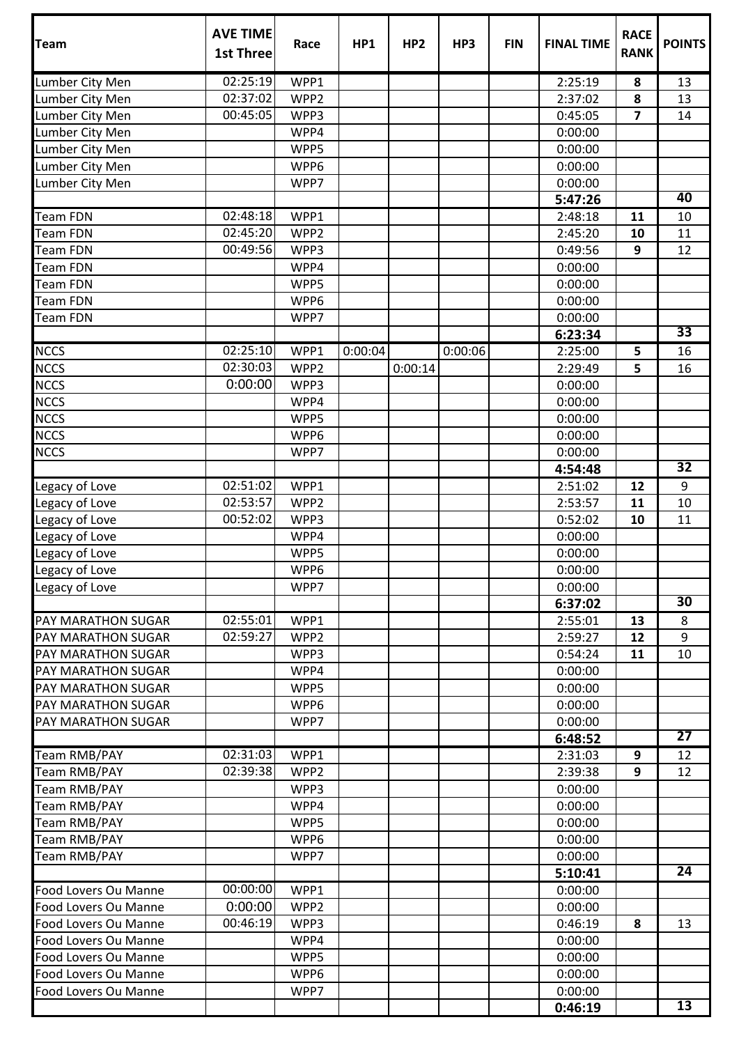| <b>Team</b>          | <b>AVE TIME</b><br><b>1st Three</b> | Race             | HP1     | HP <sub>2</sub> | HP3     | <b>FIN</b> | <b>FINAL TIME</b> | <b>RACE</b><br><b>RANK</b> | <b>POINTS</b>   |
|----------------------|-------------------------------------|------------------|---------|-----------------|---------|------------|-------------------|----------------------------|-----------------|
| Lumber City Men      | 02:25:19                            | WPP1             |         |                 |         |            | 2:25:19           | 8                          | 13              |
| Lumber City Men      | 02:37:02                            | WPP2             |         |                 |         |            | 2:37:02           | 8                          | 13              |
| Lumber City Men      | 00:45:05                            | WPP3             |         |                 |         |            | 0:45:05           | $\overline{\mathbf{z}}$    | 14              |
| Lumber City Men      |                                     | WPP4             |         |                 |         |            | 0:00:00           |                            |                 |
| Lumber City Men      |                                     | WPP5             |         |                 |         |            | 0:00:00           |                            |                 |
| Lumber City Men      |                                     | WPP6             |         |                 |         |            | 0:00:00           |                            |                 |
| Lumber City Men      |                                     | WPP7             |         |                 |         |            | 0:00:00           |                            |                 |
|                      |                                     |                  |         |                 |         |            | 5:47:26           |                            | 40              |
| <b>Team FDN</b>      | 02:48:18                            | WPP1             |         |                 |         |            | 2:48:18           | 11                         | 10              |
| <b>Team FDN</b>      | 02:45:20                            | WPP2             |         |                 |         |            | 2:45:20           | 10                         | 11              |
| Team FDN             | 00:49:56                            | WPP3             |         |                 |         |            | 0:49:56           | 9                          | 12              |
| <b>Team FDN</b>      |                                     | WPP4             |         |                 |         |            | 0:00:00           |                            |                 |
| <b>Team FDN</b>      |                                     | WPP5             |         |                 |         |            | 0:00:00           |                            |                 |
| <b>Team FDN</b>      |                                     | WPP6             |         |                 |         |            | 0:00:00           |                            |                 |
| <b>Team FDN</b>      |                                     | WPP7             |         |                 |         |            | 0:00:00           |                            |                 |
|                      |                                     |                  |         |                 |         |            | 6:23:34           |                            | $\overline{33}$ |
| <b>NCCS</b>          | 02:25:10                            | WPP1             | 0:00:04 |                 | 0:00:06 |            | 2:25:00           | 5                          | 16              |
| <b>NCCS</b>          | 02:30:03                            | WPP <sub>2</sub> |         | 0:00:14         |         |            | 2:29:49           | 5                          | 16              |
| <b>NCCS</b>          | 0:00:00                             | WPP3             |         |                 |         |            | 0:00:00           |                            |                 |
| <b>NCCS</b>          |                                     | WPP4             |         |                 |         |            | 0:00:00           |                            |                 |
| <b>NCCS</b>          |                                     | WPP5             |         |                 |         |            | 0:00:00           |                            |                 |
| <b>NCCS</b>          |                                     | WPP6             |         |                 |         |            | 0:00:00           |                            |                 |
| <b>NCCS</b>          |                                     | WPP7             |         |                 |         |            | 0:00:00           |                            |                 |
|                      |                                     |                  |         |                 |         |            | 4:54:48           |                            | $\overline{32}$ |
| Legacy of Love       | 02:51:02                            | WPP1             |         |                 |         |            | 2:51:02           | 12                         | 9               |
| Legacy of Love       | 02:53:57                            | WPP2             |         |                 |         |            | 2:53:57           | 11                         | 10              |
| Legacy of Love       | 00:52:02                            | WPP3             |         |                 |         |            | 0:52:02           | 10                         | 11              |
| Legacy of Love       |                                     | WPP4             |         |                 |         |            | 0:00:00           |                            |                 |
| Legacy of Love       |                                     | WPP5             |         |                 |         |            | 0:00:00           |                            |                 |
| Legacy of Love       |                                     | WPP6             |         |                 |         |            | 0:00:00           |                            |                 |
| Legacy of Love       |                                     | WPP7             |         |                 |         |            | 0:00:00           |                            |                 |
|                      |                                     |                  |         |                 |         |            | 6:37:02           |                            | 30              |
| PAY MARATHON SUGAR   | 02:55:01                            | WPP1             |         |                 |         |            | 2:55:01           | 13                         | 8               |
| PAY MARATHON SUGAR   | 02:59:27                            | WPP2             |         |                 |         |            | 2:59:27           | 12                         | 9               |
| PAY MARATHON SUGAR   |                                     | WPP3             |         |                 |         |            | 0:54:24           | 11                         | 10              |
| PAY MARATHON SUGAR   |                                     | WPP4             |         |                 |         |            | 0:00:00           |                            |                 |
| PAY MARATHON SUGAR   |                                     | WPP5             |         |                 |         |            | 0:00:00           |                            |                 |
| PAY MARATHON SUGAR   |                                     | WPP6             |         |                 |         |            | 0:00:00           |                            |                 |
| PAY MARATHON SUGAR   |                                     | WPP7             |         |                 |         |            | 0:00:00           |                            |                 |
|                      |                                     |                  |         |                 |         |            | 6:48:52           |                            | $\overline{27}$ |
| Team RMB/PAY         | 02:31:03                            | WPP1             |         |                 |         |            | 2:31:03           | 9                          | 12              |
| Team RMB/PAY         | 02:39:38                            | WPP2             |         |                 |         |            | 2:39:38           | 9                          | 12              |
| Team RMB/PAY         |                                     | WPP3             |         |                 |         |            | 0:00:00           |                            |                 |
| <b>Team RMB/PAY</b>  |                                     | WPP4             |         |                 |         |            | 0:00:00           |                            |                 |
| Team RMB/PAY         |                                     | WPP5             |         |                 |         |            | 0:00:00           |                            |                 |
| Team RMB/PAY         |                                     | WPP6             |         |                 |         |            | 0:00:00           |                            |                 |
| Team RMB/PAY         |                                     | WPP7             |         |                 |         |            | 0:00:00           |                            |                 |
|                      |                                     |                  |         |                 |         |            | 5:10:41           |                            | $\overline{24}$ |
| Food Lovers Ou Manne | 00:00:00                            | WPP1             |         |                 |         |            | 0:00:00           |                            |                 |
| Food Lovers Ou Manne | 0:00:00                             | WPP2             |         |                 |         |            | 0:00:00           |                            |                 |
| Food Lovers Ou Manne | 00:46:19                            | WPP3             |         |                 |         |            | 0:46:19           | 8                          | 13              |
| Food Lovers Ou Manne |                                     | WPP4             |         |                 |         |            | 0:00:00           |                            |                 |
| Food Lovers Ou Manne |                                     | WPP5             |         |                 |         |            | 0:00:00           |                            |                 |
| Food Lovers Ou Manne |                                     | WPP6             |         |                 |         |            | 0:00:00           |                            |                 |
| Food Lovers Ou Manne |                                     | WPP7             |         |                 |         |            | 0:00:00           |                            |                 |
|                      |                                     |                  |         |                 |         |            | 0:46:19           |                            | $\overline{13}$ |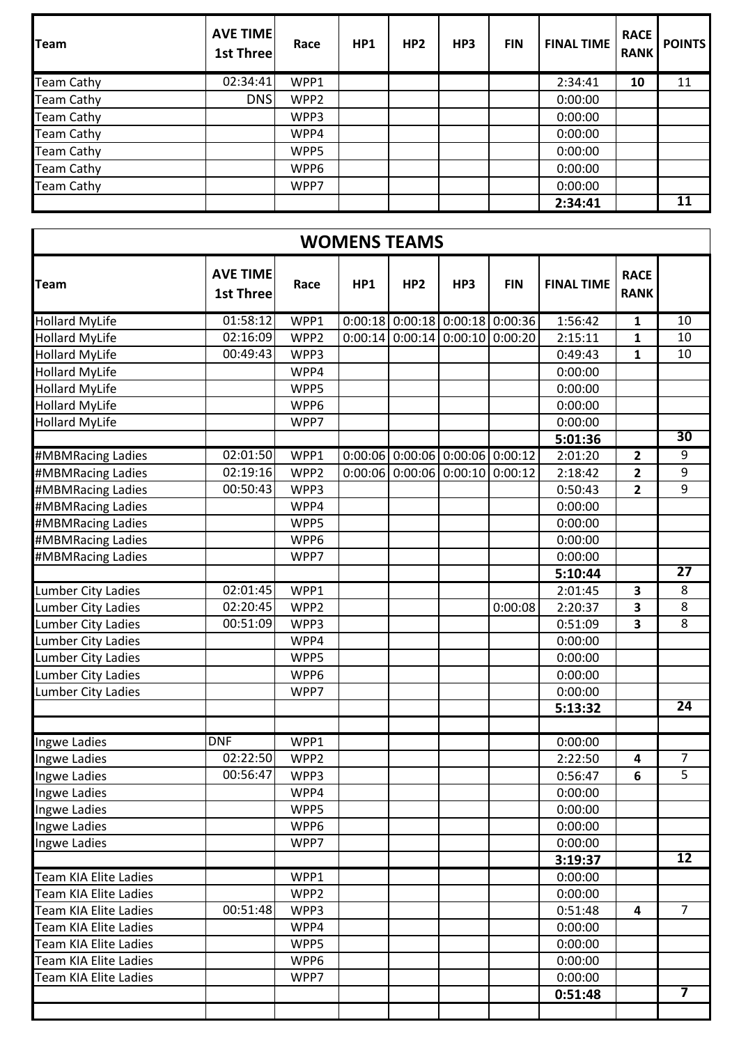| <b>Team</b>       | <b>AVE TIME</b><br>1st Three | Race | HP1 | HP <sub>2</sub> | HP3 | <b>FIN</b> | <b>FINAL TIME</b> | <b>RACE</b><br><b>RANK</b> | <b>POINTS</b> |
|-------------------|------------------------------|------|-----|-----------------|-----|------------|-------------------|----------------------------|---------------|
| <b>Team Cathy</b> | 02:34:41                     | WPP1 |     |                 |     |            | 2:34:41           | 10                         | 11            |
| <b>Team Cathy</b> | <b>DNS</b>                   | WPP2 |     |                 |     |            | 0:00:00           |                            |               |
| <b>Team Cathy</b> |                              | WPP3 |     |                 |     |            | 0:00:00           |                            |               |
| <b>Team Cathy</b> |                              | WPP4 |     |                 |     |            | 0:00:00           |                            |               |
| <b>Team Cathy</b> |                              | WPP5 |     |                 |     |            | 0:00:00           |                            |               |
| <b>Team Cathy</b> |                              | WPP6 |     |                 |     |            | 0:00:00           |                            |               |
| <b>Team Cathy</b> |                              | WPP7 |     |                 |     |            | 0:00:00           |                            |               |
|                   |                              |      |     |                 |     |            | 2:34:41           |                            | 11            |

| <b>WOMENS TEAMS</b>          |                                     |      |         |                                   |                   |            |                   |                            |                         |
|------------------------------|-------------------------------------|------|---------|-----------------------------------|-------------------|------------|-------------------|----------------------------|-------------------------|
| <b>Team</b>                  | <b>AVE TIME</b><br><b>1st Three</b> | Race | HP1     | HP <sub>2</sub>                   | HP3               | <b>FIN</b> | <b>FINAL TIME</b> | <b>RACE</b><br><b>RANK</b> |                         |
| <b>Hollard MyLife</b>        | 01:58:12                            | WPP1 |         | $0:00:18$ 0:00:18 0:00:18 0:00:36 |                   |            | 1:56:42           | $\mathbf{1}$               | 10                      |
| <b>Hollard MyLife</b>        | 02:16:09                            | WPP2 | 0:00:14 |                                   | $0:00:14$ 0:00:10 | 0:00:20    | 2:15:11           | 1                          | 10                      |
| <b>Hollard MyLife</b>        | 00:49:43                            | WPP3 |         |                                   |                   |            | 0:49:43           | $\mathbf{1}$               | 10                      |
| <b>Hollard MyLife</b>        |                                     | WPP4 |         |                                   |                   |            | 0:00:00           |                            |                         |
| <b>Hollard MyLife</b>        |                                     | WPP5 |         |                                   |                   |            | 0:00:00           |                            |                         |
| <b>Hollard MyLife</b>        |                                     | WPP6 |         |                                   |                   |            | 0:00:00           |                            |                         |
| <b>Hollard MyLife</b>        |                                     | WPP7 |         |                                   |                   |            | 0:00:00           |                            |                         |
|                              |                                     |      |         |                                   |                   |            | 5:01:36           |                            | 30                      |
| #MBMRacing Ladies            | 02:01:50                            | WPP1 |         | $0:00:06$ 0:00:06 0:00:06 0:00:12 |                   |            | 2:01:20           | $\mathbf{2}$               | 9                       |
| #MBMRacing Ladies            | 02:19:16                            | WPP2 |         | $0:00:06$ 0:00:06 0:00:10         |                   | 0:00:12    | 2:18:42           | $\overline{2}$             | 9                       |
| #MBMRacing Ladies            | 00:50:43                            | WPP3 |         |                                   |                   |            | 0:50:43           | $\overline{2}$             | 9                       |
| #MBMRacing Ladies            |                                     | WPP4 |         |                                   |                   |            | 0:00:00           |                            |                         |
| #MBMRacing Ladies            |                                     | WPP5 |         |                                   |                   |            | 0:00:00           |                            |                         |
| #MBMRacing Ladies            |                                     | WPP6 |         |                                   |                   |            | 0:00:00           |                            |                         |
| #MBMRacing Ladies            |                                     | WPP7 |         |                                   |                   |            | 0:00:00           |                            |                         |
|                              |                                     |      |         |                                   |                   |            | 5:10:44           |                            | $\overline{27}$         |
| <b>Lumber City Ladies</b>    | 02:01:45                            | WPP1 |         |                                   |                   |            | 2:01:45           | 3                          | 8                       |
| <b>Lumber City Ladies</b>    | 02:20:45                            | WPP2 |         |                                   |                   | 0:00:08    | 2:20:37           | $\overline{\mathbf{3}}$    | 8                       |
| Lumber City Ladies           | 00:51:09                            | WPP3 |         |                                   |                   |            | 0:51:09           | 3                          | 8                       |
| <b>Lumber City Ladies</b>    |                                     | WPP4 |         |                                   |                   |            | 0:00:00           |                            |                         |
| <b>Lumber City Ladies</b>    |                                     | WPP5 |         |                                   |                   |            | 0:00:00           |                            |                         |
| <b>Lumber City Ladies</b>    |                                     | WPP6 |         |                                   |                   |            | 0:00:00           |                            |                         |
| Lumber City Ladies           |                                     | WPP7 |         |                                   |                   |            | 0:00:00           |                            |                         |
|                              |                                     |      |         |                                   |                   |            | 5:13:32           |                            | 24                      |
|                              |                                     |      |         |                                   |                   |            |                   |                            |                         |
| Ingwe Ladies                 | <b>DNF</b>                          | WPP1 |         |                                   |                   |            | 0:00:00           |                            |                         |
| Ingwe Ladies                 | 02:22:50                            | WPP2 |         |                                   |                   |            | 2:22:50           | 4                          | 7                       |
| <b>Ingwe Ladies</b>          | 00:56:47                            | WPP3 |         |                                   |                   |            | 0:56:47           | 6                          | 5                       |
| Ingwe Ladies                 |                                     | WPP4 |         |                                   |                   |            | 0:00:00           |                            |                         |
| Ingwe Ladies                 |                                     | WPP5 |         |                                   |                   |            | 0:00:00           |                            |                         |
| Ingwe Ladies                 |                                     | WPP6 |         |                                   |                   |            | 0:00:00           |                            |                         |
| Ingwe Ladies                 |                                     | WPP7 |         |                                   |                   |            | 0:00:00           |                            | $\overline{12}$         |
|                              |                                     |      |         |                                   |                   |            | 3:19:37           |                            |                         |
| <b>Team KIA Elite Ladies</b> |                                     | WPP1 |         |                                   |                   |            | 0:00:00           |                            |                         |
| Team KIA Elite Ladies        |                                     | WPP2 |         |                                   |                   |            | 0:00:00           |                            |                         |
| Team KIA Elite Ladies        | 00:51:48                            | WPP3 |         |                                   |                   |            | 0:51:48           | 4                          | $\overline{7}$          |
| <b>Team KIA Elite Ladies</b> |                                     | WPP4 |         |                                   |                   |            | 0:00:00           |                            |                         |
| Team KIA Elite Ladies        |                                     | WPP5 |         |                                   |                   |            | 0:00:00           |                            |                         |
| <b>Team KIA Elite Ladies</b> |                                     | WPP6 |         |                                   |                   |            | 0:00:00           |                            |                         |
| Team KIA Elite Ladies        |                                     | WPP7 |         |                                   |                   |            | 0:00:00           |                            | $\overline{\mathbf{7}}$ |
|                              |                                     |      |         |                                   |                   |            | 0:51:48           |                            |                         |